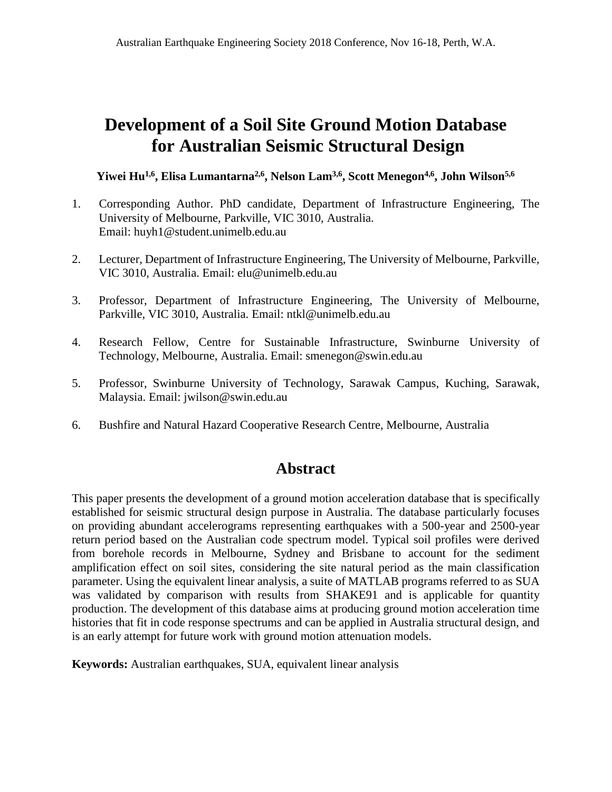# **Development of a Soil Site Ground Motion Database for Australian Seismic Structural Design**

Yiwei Hu<sup>1,6</sup>, Elisa Lumantarna<sup>2,6</sup>, Nelson Lam<sup>3,6</sup>, Scott Menegon<sup>4,6</sup>, John Wilson<sup>5,6</sup>

- 1. Corresponding Author. PhD candidate, Department of Infrastructure Engineering, The University of Melbourne, Parkville, VIC 3010, Australia. Email: huyh1@student.unimelb.edu.au
- 2. Lecturer, Department of Infrastructure Engineering, The University of Melbourne, Parkville, VIC 3010, Australia. Email: elu@unimelb.edu.au
- 3. Professor, Department of Infrastructure Engineering, The University of Melbourne, Parkville, VIC 3010, Australia. Email: ntkl@unimelb.edu.au
- 4. Research Fellow, Centre for Sustainable Infrastructure, Swinburne University of Technology, Melbourne, Australia. Email: smenegon@swin.edu.au
- 5. Professor, Swinburne University of Technology, Sarawak Campus, Kuching, Sarawak, Malaysia. Email: jwilson@swin.edu.au
- 6. Bushfire and Natural Hazard Cooperative Research Centre, Melbourne, Australia

# **Abstract**

This paper presents the development of a ground motion acceleration database that is specifically established for seismic structural design purpose in Australia. The database particularly focuses on providing abundant accelerograms representing earthquakes with a 500-year and 2500-year return period based on the Australian code spectrum model. Typical soil profiles were derived from borehole records in Melbourne, Sydney and Brisbane to account for the sediment amplification effect on soil sites, considering the site natural period as the main classification parameter. Using the equivalent linear analysis, a suite of MATLAB programs referred to as SUA was validated by comparison with results from SHAKE91 and is applicable for quantity production. The development of this database aims at producing ground motion acceleration time histories that fit in code response spectrums and can be applied in Australia structural design, and is an early attempt for future work with ground motion attenuation models.

**Keywords:** Australian earthquakes, SUA, equivalent linear analysis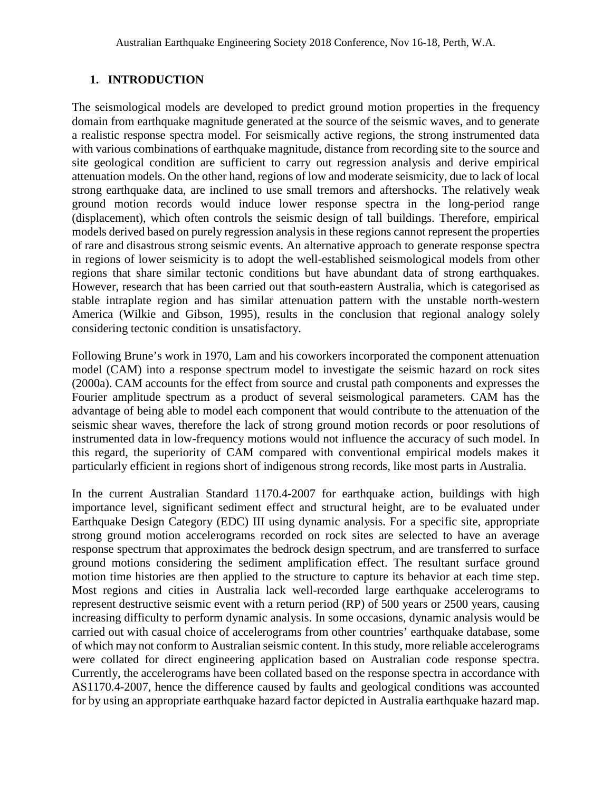# **1. INTRODUCTION**

The seismological models are developed to predict ground motion properties in the frequency domain from earthquake magnitude generated at the source of the seismic waves, and to generate a realistic response spectra model. For seismically active regions, the strong instrumented data with various combinations of earthquake magnitude, distance from recording site to the source and site geological condition are sufficient to carry out regression analysis and derive empirical attenuation models. On the other hand, regions of low and moderate seismicity, due to lack of local strong earthquake data, are inclined to use small tremors and aftershocks. The relatively weak ground motion records would induce lower response spectra in the long-period range (displacement), which often controls the seismic design of tall buildings. Therefore, empirical models derived based on purely regression analysis in these regions cannot represent the properties of rare and disastrous strong seismic events. An alternative approach to generate response spectra in regions of lower seismicity is to adopt the well-established seismological models from other regions that share similar tectonic conditions but have abundant data of strong earthquakes. However, research that has been carried out that south-eastern Australia, which is categorised as stable intraplate region and has similar attenuation pattern with the unstable north-western America (Wilkie and Gibson, 1995), results in the conclusion that regional analogy solely considering tectonic condition is unsatisfactory.

Following Brune's work in 1970, Lam and his coworkers incorporated the component attenuation model (CAM) into a response spectrum model to investigate the seismic hazard on rock sites (2000a). CAM accounts for the effect from source and crustal path components and expresses the Fourier amplitude spectrum as a product of several seismological parameters. CAM has the advantage of being able to model each component that would contribute to the attenuation of the seismic shear waves, therefore the lack of strong ground motion records or poor resolutions of instrumented data in low-frequency motions would not influence the accuracy of such model. In this regard, the superiority of CAM compared with conventional empirical models makes it particularly efficient in regions short of indigenous strong records, like most parts in Australia.

In the current Australian Standard 1170.4-2007 for earthquake action, buildings with high importance level, significant sediment effect and structural height, are to be evaluated under Earthquake Design Category (EDC) III using dynamic analysis. For a specific site, appropriate strong ground motion accelerograms recorded on rock sites are selected to have an average response spectrum that approximates the bedrock design spectrum, and are transferred to surface ground motions considering the sediment amplification effect. The resultant surface ground motion time histories are then applied to the structure to capture its behavior at each time step. Most regions and cities in Australia lack well-recorded large earthquake accelerograms to represent destructive seismic event with a return period (RP) of 500 years or 2500 years, causing increasing difficulty to perform dynamic analysis. In some occasions, dynamic analysis would be carried out with casual choice of accelerograms from other countries' earthquake database, some of which may not conform to Australian seismic content. In this study, more reliable accelerograms were collated for direct engineering application based on Australian code response spectra. Currently, the accelerograms have been collated based on the response spectra in accordance with AS1170.4-2007, hence the difference caused by faults and geological conditions was accounted for by using an appropriate earthquake hazard factor depicted in Australia earthquake hazard map.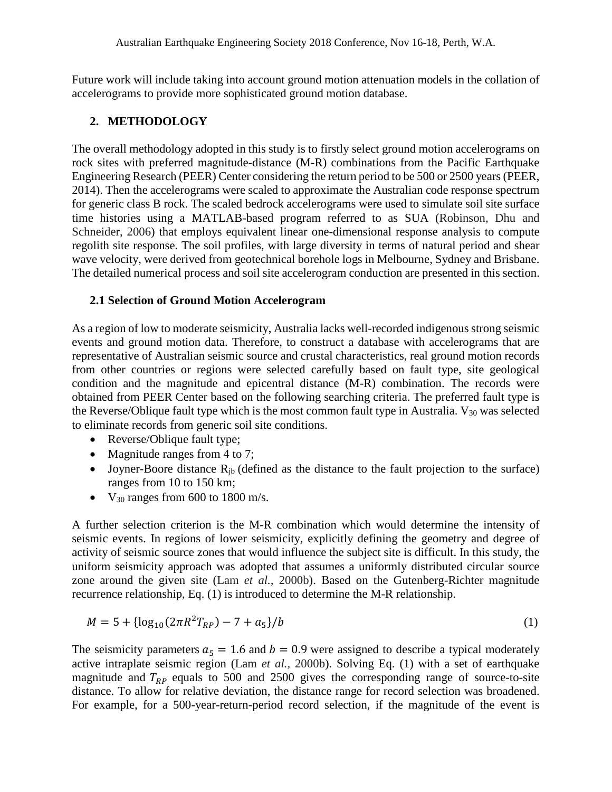Future work will include taking into account ground motion attenuation models in the collation of accelerograms to provide more sophisticated ground motion database.

### **2. METHODOLOGY**

The overall methodology adopted in this study is to firstly select ground motion accelerograms on rock sites with preferred magnitude-distance (M-R) combinations from the Pacific Earthquake Engineering Research (PEER) Center considering the return period to be 500 or 2500 years(PEER, 2014). Then the accelerograms were scaled to approximate the Australian code response spectrum for generic class B rock. The scaled bedrock accelerograms were used to simulate soil site surface time histories using a MATLAB-based program referred to as SUA (Robinson, Dhu and Schneider, 2006) that employs equivalent linear one-dimensional response analysis to compute regolith site response. The soil profiles, with large diversity in terms of natural period and shear wave velocity, were derived from geotechnical borehole logs in Melbourne, Sydney and Brisbane. The detailed numerical process and soil site accelerogram conduction are presented in this section.

#### **2.1 Selection of Ground Motion Accelerogram**

As a region of low to moderate seismicity, Australia lacks well-recorded indigenous strong seismic events and ground motion data. Therefore, to construct a database with accelerograms that are representative of Australian seismic source and crustal characteristics, real ground motion records from other countries or regions were selected carefully based on fault type, site geological condition and the magnitude and epicentral distance (M-R) combination. The records were obtained from PEER Center based on the following searching criteria. The preferred fault type is the Reverse/Oblique fault type which is the most common fault type in Australia. V<sub>30</sub> was selected to eliminate records from generic soil site conditions.

- Reverse/Oblique fault type;
- Magnitude ranges from 4 to 7;
- Joyner-Boore distance  $R_{ib}$  (defined as the distance to the fault projection to the surface) ranges from 10 to 150 km;
- $V_{30}$  ranges from 600 to 1800 m/s.

A further selection criterion is the M-R combination which would determine the intensity of seismic events. In regions of lower seismicity, explicitly defining the geometry and degree of activity of seismic source zones that would influence the subject site is difficult. In this study, the uniform seismicity approach was adopted that assumes a uniformly distributed circular source zone around the given site (Lam *et al.,* 2000b). Based on the Gutenberg-Richter magnitude recurrence relationship, Eq. (1) is introduced to determine the M-R relationship.

$$
M = 5 + {\log_{10}(2\pi R^2 T_{RP}) - 7 + a_5}/b
$$
 (1)

The seismicity parameters  $a_5 = 1.6$  and  $b = 0.9$  were assigned to describe a typical moderately active intraplate seismic region (Lam *et al.,* 2000b). Solving Eq. (1) with a set of earthquake magnitude and  $T_{RP}$  equals to 500 and 2500 gives the corresponding range of source-to-site distance. To allow for relative deviation, the distance range for record selection was broadened. For example, for a 500-year-return-period record selection, if the magnitude of the event is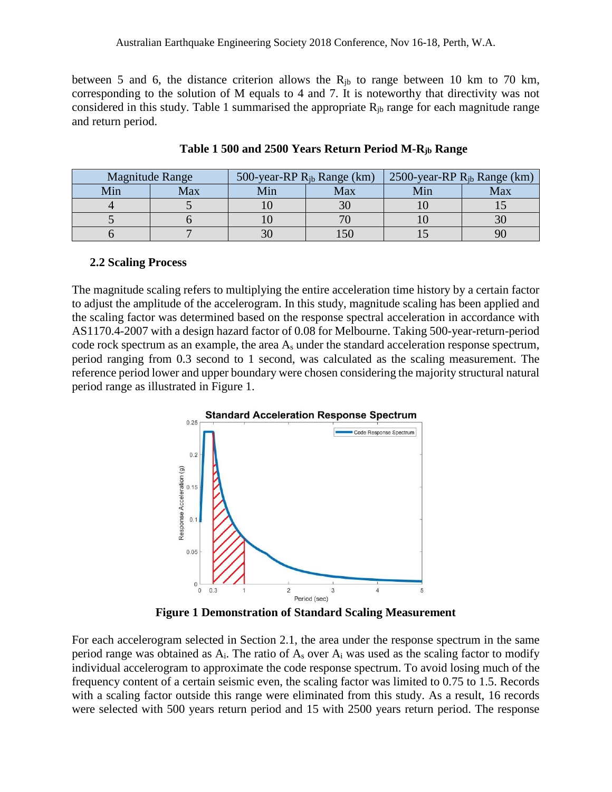Australian Earthquake Engineering Society 2018 Conference, Nov 16-18, Perth, W.A.

between 5 and 6, the distance criterion allows the  $R_{ib}$  to range between 10 km to 70 km, corresponding to the solution of M equals to 4 and 7. It is noteworthy that directivity was not considered in this study. Table 1 summarised the appropriate  $R_{ib}$  range for each magnitude range and return period.

| <b>Magnitude Range</b> |     | 500-year-RP $R_{ib}$ Range (km) |     | 2500-year-RP $R_{ib}$ Range (km) |     |
|------------------------|-----|---------------------------------|-----|----------------------------------|-----|
| Min                    | Max | Min                             | Max | Min                              | Max |
|                        |     |                                 |     |                                  |     |
|                        |     |                                 |     |                                  |     |
|                        |     |                                 |     |                                  |     |

**Table 1 500 and 2500 Years Return Period M-Rjb Range**

#### **2.2 Scaling Process**

The magnitude scaling refers to multiplying the entire acceleration time history by a certain factor to adjust the amplitude of the accelerogram. In this study, magnitude scaling has been applied and the scaling factor was determined based on the response spectral acceleration in accordance with AS1170.4-2007 with a design hazard factor of 0.08 for Melbourne. Taking 500-year-return-period code rock spectrum as an example, the area As under the standard acceleration response spectrum, period ranging from 0.3 second to 1 second, was calculated as the scaling measurement. The reference period lower and upper boundary were chosen considering the majority structural natural period range as illustrated in Figure 1.



**Figure 1 Demonstration of Standard Scaling Measurement**

For each accelerogram selected in Section 2.1, the area under the response spectrum in the same period range was obtained as  $A_i$ . The ratio of  $A_s$  over  $A_i$  was used as the scaling factor to modify individual accelerogram to approximate the code response spectrum. To avoid losing much of the frequency content of a certain seismic even, the scaling factor was limited to 0.75 to 1.5. Records with a scaling factor outside this range were eliminated from this study. As a result, 16 records were selected with 500 years return period and 15 with 2500 years return period. The response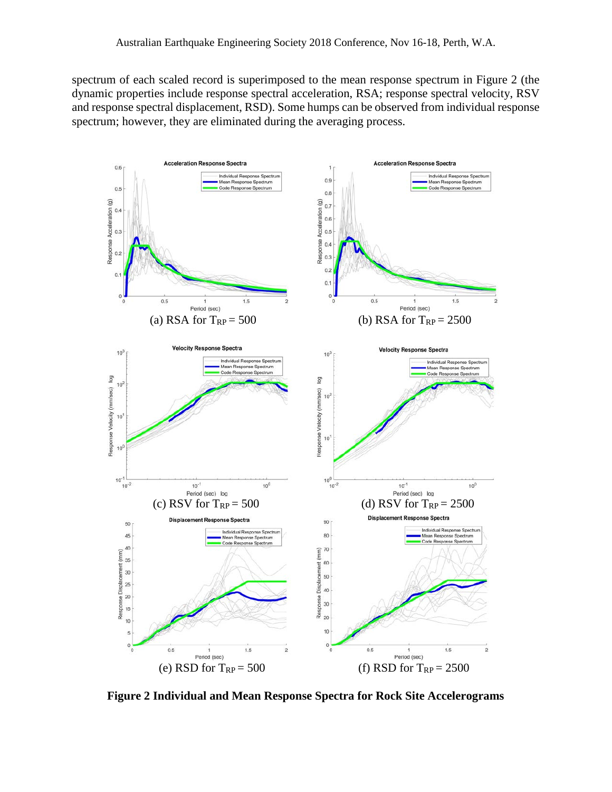spectrum of each scaled record is superimposed to the mean response spectrum in Figure 2 (the dynamic properties include response spectral acceleration, RSA; response spectral velocity, RSV and response spectral displacement, RSD). Some humps can be observed from individual response spectrum; however, they are eliminated during the averaging process.



**Figure 2 Individual and Mean Response Spectra for Rock Site Accelerograms**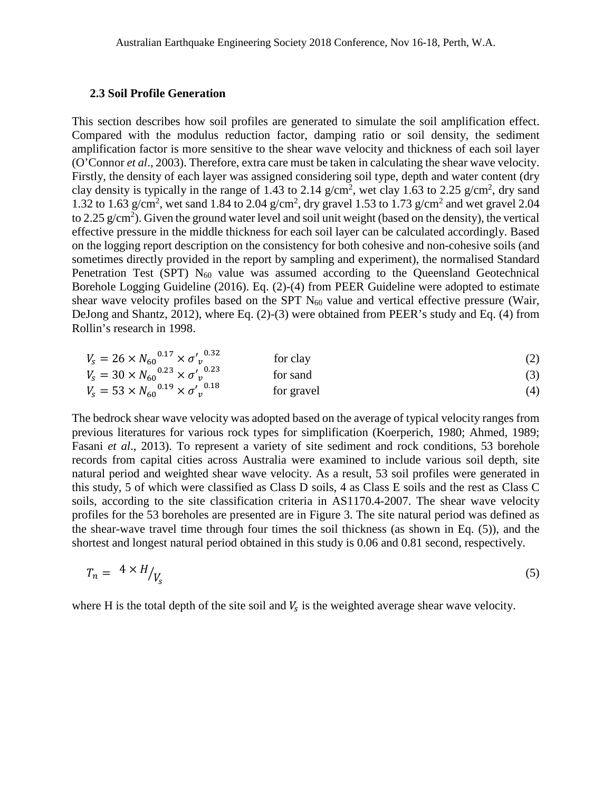#### **2.3 Soil Profile Generation**

This section describes how soil profiles are generated to simulate the soil amplification effect. Compared with the modulus reduction factor, damping ratio or soil density, the sediment amplification factor is more sensitive to the shear wave velocity and thickness of each soil layer (O'Connor *et al*., 2003). Therefore, extra care must be taken in calculating the shear wave velocity. Firstly, the density of each layer was assigned considering soil type, depth and water content (dry clay density is typically in the range of 1.43 to 2.14  $g/cm^2$ , wet clay 1.63 to 2.25  $g/cm^2$ , dry sand 1.32 to 1.63 g/cm<sup>2</sup>, wet sand 1.84 to 2.04 g/cm<sup>2</sup>, dry gravel 1.53 to 1.73 g/cm<sup>2</sup> and wet gravel 2.04 to 2.25 g/cm<sup>2</sup>). Given the ground water level and soil unit weight (based on the density), the vertical effective pressure in the middle thickness for each soil layer can be calculated accordingly. Based on the logging report description on the consistency for both cohesive and non-cohesive soils (and sometimes directly provided in the report by sampling and experiment), the normalised Standard Penetration Test (SPT)  $N_{60}$  value was assumed according to the Queensland Geotechnical Borehole Logging Guideline (2016). Eq. (2)-(4) from PEER Guideline were adopted to estimate shear wave velocity profiles based on the SPT  $N_{60}$  value and vertical effective pressure (Wair, DeJong and Shantz, 2012), where Eq. (2)-(3) were obtained from PEER's study and Eq. (4) from Rollin's research in 1998.

$$
V_s = 26 \times N_{60}^{0.17} \times \sigma'_v^{0.32}
$$
 for clay  
\n
$$
V_s = 30 \times N_{60}^{0.23} \times \sigma'_v^{0.23}
$$
 for sand (3)

$$
V_s = 53 \times N_{60}^{0.19} \times \sigma'_v^{0.18} \qquad \text{for travel} \tag{4}
$$

The bedrock shear wave velocity was adopted based on the average of typical velocity ranges from previous literatures for various rock types for simplification (Koerperich, 1980; Ahmed, 1989; Fasani *et al*., 2013). To represent a variety of site sediment and rock conditions, 53 borehole records from capital cities across Australia were examined to include various soil depth, site natural period and weighted shear wave velocity. As a result, 53 soil profiles were generated in this study, 5 of which were classified as Class D soils, 4 as Class E soils and the rest as Class C soils, according to the site classification criteria in AS1170.4-2007. The shear wave velocity profiles for the 53 boreholes are presented are in Figure 3. The site natural period was defined as the shear-wave travel time through four times the soil thickness (as shown in Eq. (5)), and the shortest and longest natural period obtained in this study is 0.06 and 0.81 second, respectively.

$$
T_n = \left. \begin{array}{c} 4 \times H_{V_s} \end{array} \right) \tag{5}
$$

where H is the total depth of the site soil and  $V_s$  is the weighted average shear wave velocity.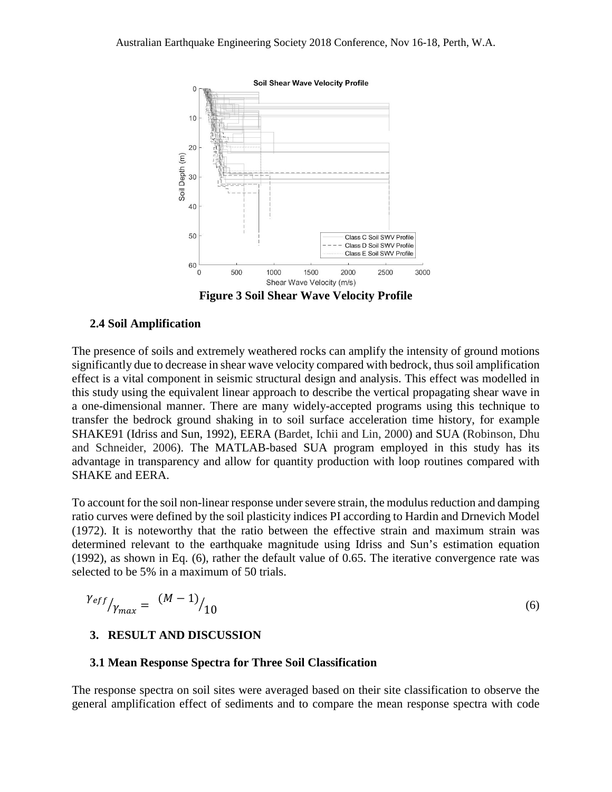

**Figure 3 Soil Shear Wave Velocity Profile**

#### **2.4 Soil Amplification**

The presence of soils and extremely weathered rocks can amplify the intensity of ground motions significantly due to decrease in shear wave velocity compared with bedrock, thus soil amplification effect is a vital component in seismic structural design and analysis. This effect was modelled in this study using the equivalent linear approach to describe the vertical propagating shear wave in a one-dimensional manner. There are many widely-accepted programs using this technique to transfer the bedrock ground shaking in to soil surface acceleration time history, for example SHAKE91 (Idriss and Sun, 1992), EERA (Bardet, Ichii and Lin, 2000) and SUA (Robinson, Dhu and Schneider, 2006). The MATLAB-based SUA program employed in this study has its advantage in transparency and allow for quantity production with loop routines compared with SHAKE and EERA.

To account for the soil non-linear response under severe strain, the modulus reduction and damping ratio curves were defined by the soil plasticity indices PI according to Hardin and Drnevich Model (1972). It is noteworthy that the ratio between the effective strain and maximum strain was determined relevant to the earthquake magnitude using Idriss and Sun's estimation equation (1992), as shown in Eq. (6), rather the default value of 0.65. The iterative convergence rate was selected to be 5% in a maximum of 50 trials.

$$
\gamma_{eff} = \left. \frac{(M-1)}{10} \right|_{10} \tag{6}
$$

#### **3. RESULT AND DISCUSSION**

#### **3.1 Mean Response Spectra for Three Soil Classification**

The response spectra on soil sites were averaged based on their site classification to observe the general amplification effect of sediments and to compare the mean response spectra with code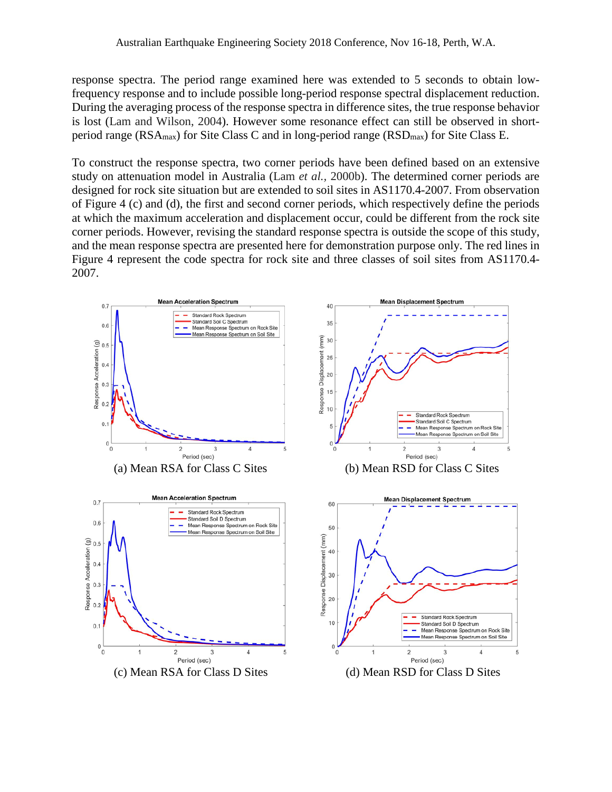response spectra. The period range examined here was extended to 5 seconds to obtain lowfrequency response and to include possible long-period response spectral displacement reduction. During the averaging process of the response spectra in difference sites, the true response behavior is lost (Lam and Wilson, 2004). However some resonance effect can still be observed in shortperiod range ( $RSA_{\text{max}}$ ) for Site Class C and in long-period range ( $RSD_{\text{max}}$ ) for Site Class E.

To construct the response spectra, two corner periods have been defined based on an extensive study on attenuation model in Australia (Lam *et al.,* 2000b). The determined corner periods are designed for rock site situation but are extended to soil sites in AS1170.4-2007. From observation of Figure 4 (c) and (d), the first and second corner periods, which respectively define the periods at which the maximum acceleration and displacement occur, could be different from the rock site corner periods. However, revising the standard response spectra is outside the scope of this study, and the mean response spectra are presented here for demonstration purpose only. The red lines in Figure 4 represent the code spectra for rock site and three classes of soil sites from AS1170.4- 2007.

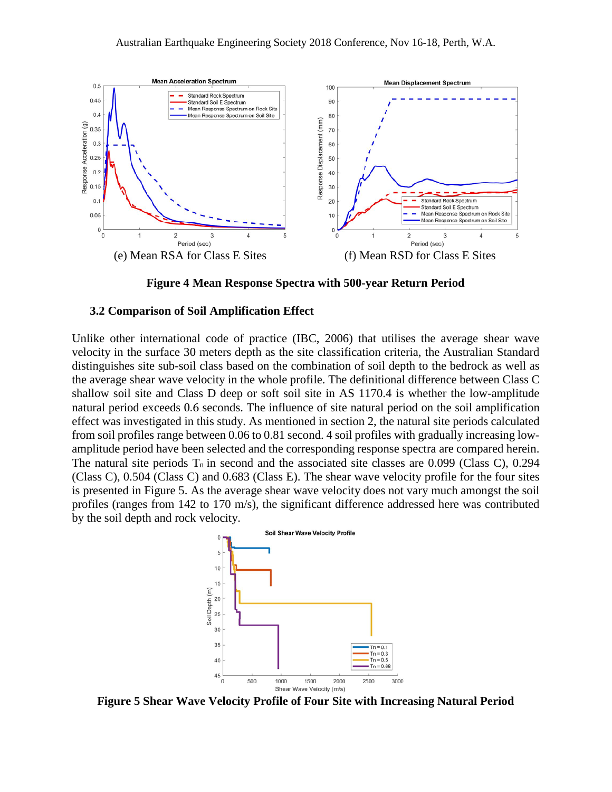

**Figure 4 Mean Response Spectra with 500-year Return Period**

#### **3.2 Comparison of Soil Amplification Effect**

Unlike other international code of practice (IBC, 2006) that utilises the average shear wave velocity in the surface 30 meters depth as the site classification criteria, the Australian Standard distinguishes site sub-soil class based on the combination of soil depth to the bedrock as well as the average shear wave velocity in the whole profile. The definitional difference between Class C shallow soil site and Class D deep or soft soil site in AS 1170.4 is whether the low-amplitude natural period exceeds 0.6 seconds. The influence of site natural period on the soil amplification effect was investigated in this study. As mentioned in section 2, the natural site periods calculated from soil profiles range between 0.06 to 0.81 second. 4 soil profiles with gradually increasing lowamplitude period have been selected and the corresponding response spectra are compared herein. The natural site periods  $T_n$  in second and the associated site classes are 0.099 (Class C), 0.294 (Class C), 0.504 (Class C) and 0.683 (Class E). The shear wave velocity profile for the four sites is presented in Figure 5. As the average shear wave velocity does not vary much amongst the soil profiles (ranges from 142 to 170 m/s), the significant difference addressed here was contributed by the soil depth and rock velocity.



**Figure 5 Shear Wave Velocity Profile of Four Site with Increasing Natural Period**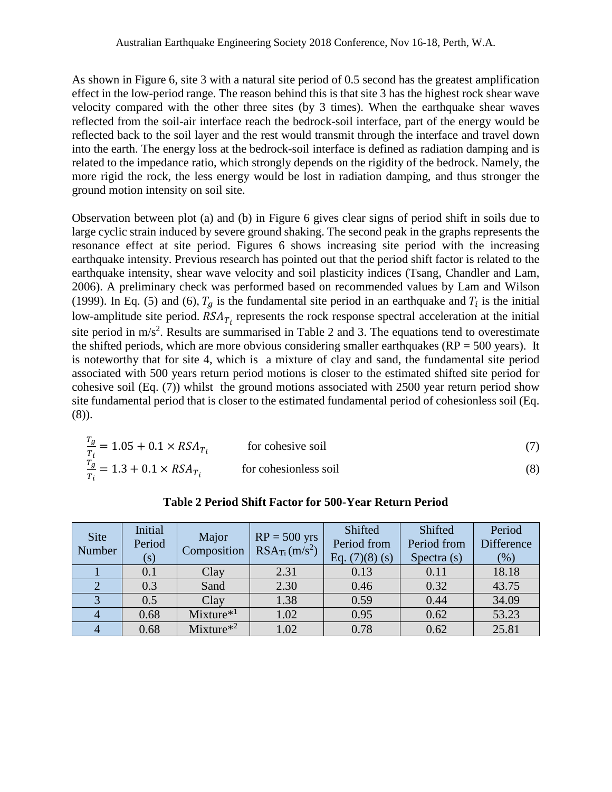As shown in Figure 6, site 3 with a natural site period of 0.5 second has the greatest amplification effect in the low-period range. The reason behind this is that site 3 has the highest rock shear wave velocity compared with the other three sites (by 3 times). When the earthquake shear waves reflected from the soil-air interface reach the bedrock-soil interface, part of the energy would be reflected back to the soil layer and the rest would transmit through the interface and travel down into the earth. The energy loss at the bedrock-soil interface is defined as radiation damping and is related to the impedance ratio, which strongly depends on the rigidity of the bedrock. Namely, the more rigid the rock, the less energy would be lost in radiation damping, and thus stronger the ground motion intensity on soil site.

Observation between plot (a) and (b) in Figure 6 gives clear signs of period shift in soils due to large cyclic strain induced by severe ground shaking. The second peak in the graphs represents the resonance effect at site period. Figures 6 shows increasing site period with the increasing earthquake intensity. Previous research has pointed out that the period shift factor is related to the earthquake intensity, shear wave velocity and soil plasticity indices (Tsang, Chandler and Lam, 2006). A preliminary check was performed based on recommended values by Lam and Wilson (1999). In Eq. (5) and (6),  $T_g$  is the fundamental site period in an earthquake and  $T_i$  is the initial low-amplitude site period.  $RSA<sub>T<sub>i</sub></sub>$  represents the rock response spectral acceleration at the initial site period in  $m/s<sup>2</sup>$ . Results are summarised in Table 2 and 3. The equations tend to overestimate the shifted periods, which are more obvious considering smaller earthquakes ( $RP = 500$  years). It is noteworthy that for site 4, which is a mixture of clay and sand, the fundamental site period associated with 500 years return period motions is closer to the estimated shifted site period for cohesive soil (Eq. (7)) whilst the ground motions associated with 2500 year return period show site fundamental period that is closer to the estimated fundamental period of cohesionless soil (Eq. (8)).

| $\frac{q_g}{T} = 1.05 + 0.1 \times RSA_{T_i}$  | for cohesive soil     |  |
|------------------------------------------------|-----------------------|--|
| $\frac{I_g}{T_i} = 1.3 + 0.1 \times RSA_{T_i}$ | for cohesionless soil |  |

| Site<br>Number | Initial<br>Period<br>(s) | Major<br>Composition | $RP = 500$ yrs<br>$RSA_{Ti}(m/s^2)$ | Shifted<br>Period from<br>Eq. $(7)(8)$ (s) | Shifted<br>Period from<br>Spectra $(s)$ | Period<br>Difference<br>$(\%)$ |
|----------------|--------------------------|----------------------|-------------------------------------|--------------------------------------------|-----------------------------------------|--------------------------------|
|                | 0.1                      | Clay                 | 2.31                                | 0.13                                       | 0.11                                    | 18.18                          |
|                | 0.3                      | Sand                 | 2.30                                | 0.46                                       | 0.32                                    | 43.75                          |
|                | 0.5                      | Clay                 | 1.38                                | 0.59                                       | 0.44                                    | 34.09                          |
|                | 0.68                     | $Mixture^{*1}$       | 1.02                                | 0.95                                       | 0.62                                    | 53.23                          |
|                | 0.68                     | $Mixture^{*2}$       | 1.02                                | 0.78                                       | 0.62                                    | 25.81                          |

#### **Table 2 Period Shift Factor for 500-Year Return Period**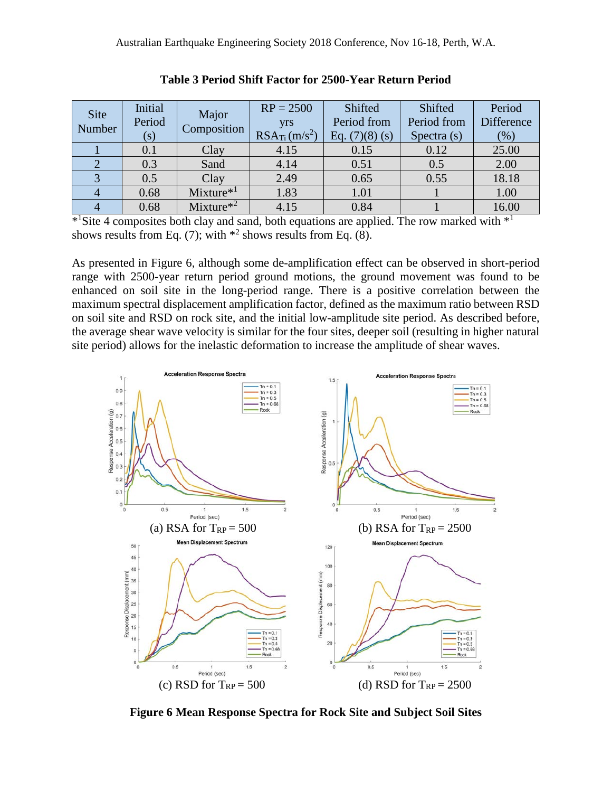| Site<br>Number | Initial<br>Period<br>(s) | Major<br>Composition | $RP = 2500$<br>yrs<br>$RSA_{Ti}(m/s^2)$ | Shifted<br>Period from<br>Eq. $(7)(8)(s)$ | Shifted<br>Period from<br>Spectra $(s)$ | Period<br>Difference<br>$(\%)$ |
|----------------|--------------------------|----------------------|-----------------------------------------|-------------------------------------------|-----------------------------------------|--------------------------------|
|                | 0.1                      | Clay                 | 4.15                                    | 0.15                                      | 0.12                                    | 25.00                          |
|                | 0.3                      | Sand                 | 4.14                                    | 0.51                                      | 0.5                                     | 2.00                           |
| ◠              | 0.5                      | Clay                 | 2.49                                    | 0.65                                      | 0.55                                    | 18.18                          |
|                | 0.68                     | $Mixture^{*1}$       | 1.83                                    | 1.01                                      |                                         | 1.00                           |
|                | 0.68                     | $Mixture^{*2}$       | 4.15                                    | 0.84                                      |                                         | 16.00                          |

| Table 3 Period Shift Factor for 2500-Year Return Period |  |  |  |
|---------------------------------------------------------|--|--|--|
|---------------------------------------------------------|--|--|--|

 $*$ <sup>1</sup>Site 4 composites both clay and sand, both equations are applied. The row marked with  $*$ <sup>1</sup> shows results from Eq. (7); with  $*^2$  shows results from Eq. (8).

As presented in Figure 6, although some de-amplification effect can be observed in short-period range with 2500-year return period ground motions, the ground movement was found to be enhanced on soil site in the long-period range. There is a positive correlation between the maximum spectral displacement amplification factor, defined as the maximum ratio between RSD on soil site and RSD on rock site, and the initial low-amplitude site period. As described before, the average shear wave velocity is similar for the four sites, deeper soil (resulting in higher natural site period) allows for the inelastic deformation to increase the amplitude of shear waves.



**Figure 6 Mean Response Spectra for Rock Site and Subject Soil Sites**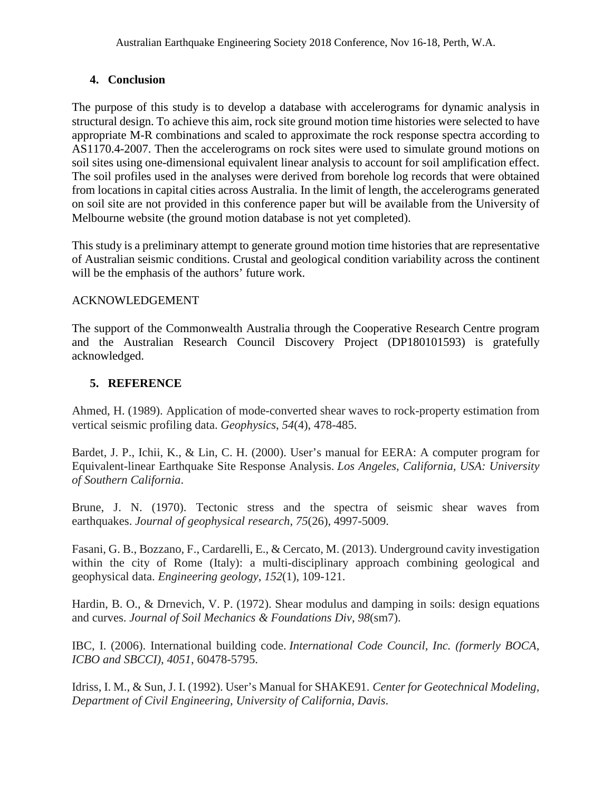# **4. Conclusion**

The purpose of this study is to develop a database with accelerograms for dynamic analysis in structural design. To achieve this aim, rock site ground motion time histories were selected to have appropriate M-R combinations and scaled to approximate the rock response spectra according to AS1170.4-2007. Then the accelerograms on rock sites were used to simulate ground motions on soil sites using one-dimensional equivalent linear analysis to account for soil amplification effect. The soil profiles used in the analyses were derived from borehole log records that were obtained from locations in capital cities across Australia. In the limit of length, the accelerograms generated on soil site are not provided in this conference paper but will be available from the University of Melbourne website (the ground motion database is not yet completed).

This study is a preliminary attempt to generate ground motion time histories that are representative of Australian seismic conditions. Crustal and geological condition variability across the continent will be the emphasis of the authors' future work.

# ACKNOWLEDGEMENT

The support of the Commonwealth Australia through the Cooperative Research Centre program and the Australian Research Council Discovery Project (DP180101593) is gratefully acknowledged.

# **5. REFERENCE**

Ahmed, H. (1989). Application of mode-converted shear waves to rock-property estimation from vertical seismic profiling data. *Geophysics*, *54*(4), 478-485.

Bardet, J. P., Ichii, K., & Lin, C. H. (2000). User's manual for EERA: A computer program for Equivalent-linear Earthquake Site Response Analysis. *Los Angeles, California, USA: University of Southern California*.

Brune, J. N. (1970). Tectonic stress and the spectra of seismic shear waves from earthquakes. *Journal of geophysical research*, *75*(26), 4997-5009.

Fasani, G. B., Bozzano, F., Cardarelli, E., & Cercato, M. (2013). Underground cavity investigation within the city of Rome (Italy): a multi-disciplinary approach combining geological and geophysical data. *Engineering geology*, *152*(1), 109-121.

Hardin, B. O., & Drnevich, V. P. (1972). Shear modulus and damping in soils: design equations and curves. *Journal of Soil Mechanics & Foundations Div*, *98*(sm7).

IBC, I. (2006). International building code. *International Code Council, Inc. (formerly BOCA, ICBO and SBCCI)*, *4051*, 60478-5795.

Idriss, I. M., & Sun, J. I. (1992). User's Manual for SHAKE91. *Center for Geotechnical Modeling, Department of Civil Engineering, University of California, Davis*.